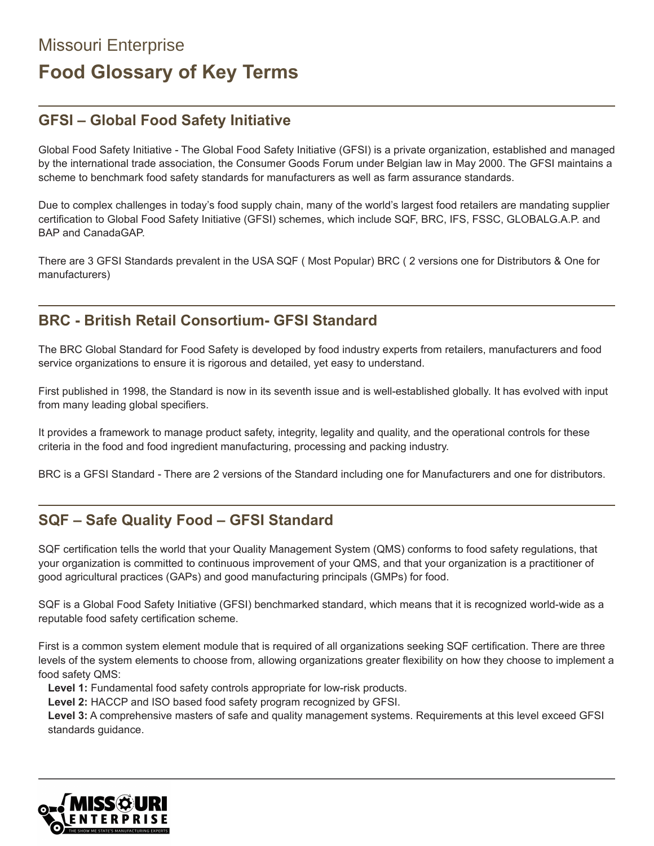# Missouri Enterprise **Food Glossary of Key Terms**

# **GFSI – Global Food Safety Initiative**

Global Food Safety Initiative - The Global Food Safety Initiative (GFSI) is a private organization, established and managed by the international trade association, the Consumer Goods Forum under Belgian law in May 2000. The GFSI maintains a scheme to benchmark food safety standards for manufacturers as well as farm assurance standards.

Due to complex challenges in today's food supply chain, many of the world's largest food retailers are mandating supplier certification to Global Food Safety Initiative (GFSI) schemes, which include SQF, BRC, IFS, FSSC, GLOBALG.A.P. and BAP and CanadaGAP.

There are 3 GFSI Standards prevalent in the USA SQF ( Most Popular) BRC ( 2 versions one for Distributors & One for manufacturers)

### **BRC - British Retail Consortium- GFSI Standard**

The BRC Global Standard for Food Safety is developed by food industry experts from retailers, manufacturers and food service organizations to ensure it is rigorous and detailed, yet easy to understand.

First published in 1998, the Standard is now in its seventh issue and is well-established globally. It has evolved with input from many leading global specifiers.

It provides a framework to manage product safety, integrity, legality and quality, and the operational controls for these criteria in the food and food ingredient manufacturing, processing and packing industry.

BRC is a GFSI Standard - There are 2 versions of the Standard including one for Manufacturers and one for distributors.

### **SQF – Safe Quality Food – GFSI Standard**

SQF certification tells the world that your Quality Management System (QMS) conforms to food safety regulations, that your organization is committed to continuous improvement of your QMS, and that your organization is a practitioner of good agricultural practices (GAPs) and good manufacturing principals (GMPs) for food.

SQF is a Global Food Safety Initiative (GFSI) benchmarked standard, which means that it is recognized world-wide as a reputable food safety certification scheme.

First is a common system element module that is required of all organizations seeking SQF certification. There are three levels of the system elements to choose from, allowing organizations greater flexibility on how they choose to implement a food safety QMS:

**Level 1:** Fundamental food safety controls appropriate for low-risk products.

**Level 2:** HACCP and ISO based food safety program recognized by GFSI.

**Level 3:** A comprehensive masters of safe and quality management systems. Requirements at this level exceed GFSI standards guidance.

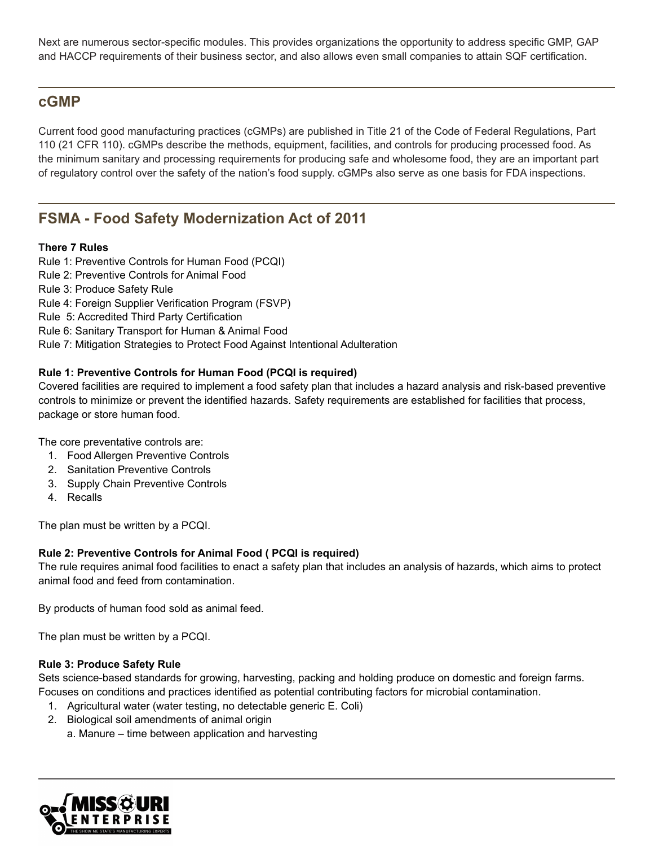Next are numerous sector-specific modules. This provides organizations the opportunity to address specific GMP, GAP and HACCP requirements of their business sector, and also allows even small companies to attain SQF certification.

### **cGMP**

Current food good manufacturing practices (cGMPs) are published in Title 21 of the Code of Federal Regulations, Part 110 (21 CFR 110). cGMPs describe the methods, equipment, facilities, and controls for producing processed food. As the minimum sanitary and processing requirements for producing safe and wholesome food, they are an important part of regulatory control over the safety of the nation's food supply. cGMPs also serve as one basis for FDA inspections.

# **FSMA - Food Safety Modernization Act of 2011**

#### **There 7 Rules**

Rule 1: Preventive Controls for Human Food (PCQI) Rule 2: Preventive Controls for Animal Food Rule 3: Produce Safety Rule Rule 4: Foreign Supplier Verification Program (FSVP) Rule 5: Accredited Third Party Certification Rule 6: Sanitary Transport for Human & Animal Food Rule 7: Mitigation Strategies to Protect Food Against Intentional Adulteration

#### **Rule 1: Preventive Controls for Human Food (PCQI is required)**

Covered facilities are required to implement a food safety plan that includes a hazard analysis and risk-based preventive controls to minimize or prevent the identified hazards. Safety requirements are established for facilities that process, package or store human food.

The core preventative controls are:

- 1. Food Allergen Preventive Controls
- 2. Sanitation Preventive Controls
- 3. Supply Chain Preventive Controls
- 4. Recalls

The plan must be written by a PCQI.

#### **Rule 2: Preventive Controls for Animal Food ( PCQI is required)**

The rule requires animal food facilities to enact a safety plan that includes an analysis of hazards, which aims to protect animal food and feed from contamination.

By products of human food sold as animal feed.

The plan must be written by a PCQI.

#### **Rule 3: Produce Safety Rule**

Sets science-based standards for growing, harvesting, packing and holding produce on domestic and foreign farms. Focuses on conditions and practices identified as potential contributing factors for microbial contamination.

- 1. Agricultural water (water testing, no detectable generic E. Coli)
- 2. Biological soil amendments of animal origin
	- a. Manure time between application and harvesting

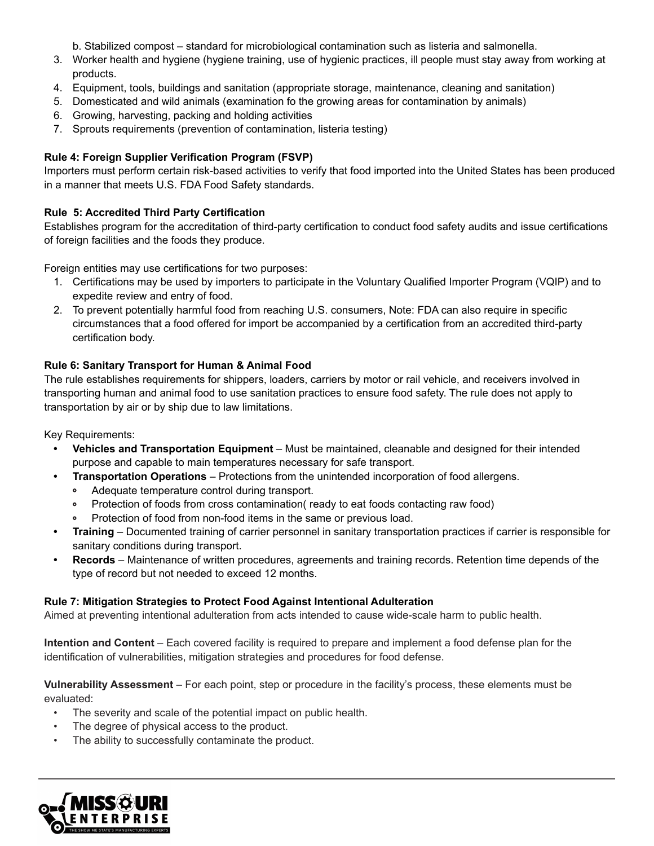b. Stabilized compost – standard for microbiological contamination such as listeria and salmonella.

- 3. Worker health and hygiene (hygiene training, use of hygienic practices, ill people must stay away from working at products.
- 4. Equipment, tools, buildings and sanitation (appropriate storage, maintenance, cleaning and sanitation)
- 5. Domesticated and wild animals (examination fo the growing areas for contamination by animals)
- 6. Growing, harvesting, packing and holding activities
- 7. Sprouts requirements (prevention of contamination, listeria testing)

#### **Rule 4: Foreign Supplier Verification Program (FSVP)**

Importers must perform certain risk-based activities to verify that food imported into the United States has been produced in a manner that meets U.S. FDA Food Safety standards.

#### **Rule 5: Accredited Third Party Certification**

Establishes program for the accreditation of third-party certification to conduct food safety audits and issue certifications of foreign facilities and the foods they produce.

Foreign entities may use certifications for two purposes:

- 1. Certifications may be used by importers to participate in the Voluntary Qualified Importer Program (VQIP) and to expedite review and entry of food.
- 2. To prevent potentially harmful food from reaching U.S. consumers, Note: FDA can also require in specific circumstances that a food offered for import be accompanied by a certification from an accredited third-party certification body.

#### **Rule 6: Sanitary Transport for Human & Animal Food**

The rule establishes requirements for shippers, loaders, carriers by motor or rail vehicle, and receivers involved in transporting human and animal food to use sanitation practices to ensure food safety. The rule does not apply to transportation by air or by ship due to law limitations.

Key Requirements:

- **• Vehicles and Transportation Equipment** Must be maintained, cleanable and designed for their intended purpose and capable to main temperatures necessary for safe transport.
- **• Transportation Operations** Protections from the unintended incorporation of food allergens.
	- Adequate temperature control during transport.  $\bullet$
	- Protection of foods from cross contamination( ready to eat foods contacting raw food)
	- Protection of food from non-food items in the same or previous load.
- **• Training** Documented training of carrier personnel in sanitary transportation practices if carrier is responsible for sanitary conditions during transport.
- **• Records** Maintenance of written procedures, agreements and training records. Retention time depends of the type of record but not needed to exceed 12 months.

#### **Rule 7: Mitigation Strategies to Protect Food Against Intentional Adulteration**

Aimed at preventing intentional adulteration from acts intended to cause wide-scale harm to public health.

**Intention and Content** – Each covered facility is required to prepare and implement a food defense plan for the identification of vulnerabilities, mitigation strategies and procedures for food defense.

**Vulnerability Assessment** – For each point, step or procedure in the facility's process, these elements must be evaluated:

- The severity and scale of the potential impact on public health.
- The degree of physical access to the product.
- The ability to successfully contaminate the product.

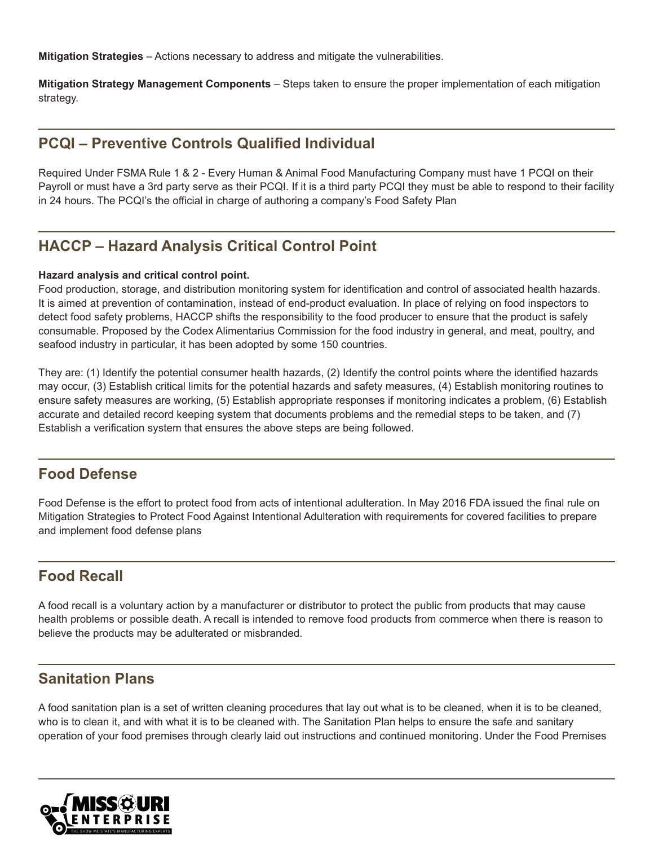**Mitigation Strategies** – Actions necessary to address and mitigate the vulnerabilities.

**Mitigation Strategy Management Components** – Steps taken to ensure the proper implementation of each mitigation strategy.

### **PCQI – Preventive Controls Qualified Individual**

Required Under FSMA Rule 1 & 2 - Every Human & Animal Food Manufacturing Company must have 1 PCQI on their Payroll or must have a 3rd party serve as their PCQI. If it is a third party PCQI they must be able to respond to their facility in 24 hours. The PCQI's the official in charge of authoring a company's Food Safety Plan

# **HACCP – Hazard Analysis Critical Control Point**

#### **Hazard analysis and critical control point.**

Food production, storage, and distribution monitoring system for identification and control of associated health hazards. It is aimed at prevention of contamination, instead of end-product evaluation. In place of relying on food inspectors to detect food safety problems, HACCP shifts the responsibility to the food producer to ensure that the product is safely consumable. Proposed by the Codex Alimentarius Commission for the food industry in general, and meat, poultry, and seafood industry in particular, it has been adopted by some 150 countries.

They are: (1) Identify the potential consumer health hazards, (2) Identify the control points where the identified hazards may occur, (3) Establish critical limits for the potential hazards and safety measures, (4) Establish monitoring routines to ensure safety measures are working, (5) Establish appropriate responses if monitoring indicates a problem, (6) Establish accurate and detailed record keeping system that documents problems and the remedial steps to be taken, and (7) Establish a verification system that ensures the above steps are being followed.

### **Food Defense**

Food Defense is the effort to protect food from acts of intentional adulteration. In May 2016 FDA issued the final rule on Mitigation Strategies to Protect Food Against Intentional Adulteration with requirements for covered facilities to prepare and implement food defense plans

# **Food Recall**

A food recall is a voluntary action by a manufacturer or distributor to protect the public from products that may cause health problems or possible death. A recall is intended to remove food products from commerce when there is reason to believe the products may be adulterated or misbranded.

### **Sanitation Plans**

A food sanitation plan is a set of written cleaning procedures that lay out what is to be cleaned, when it is to be cleaned, who is to clean it, and with what it is to be cleaned with. The Sanitation Plan helps to ensure the safe and sanitary operation of your food premises through clearly laid out instructions and continued monitoring. Under the Food Premises